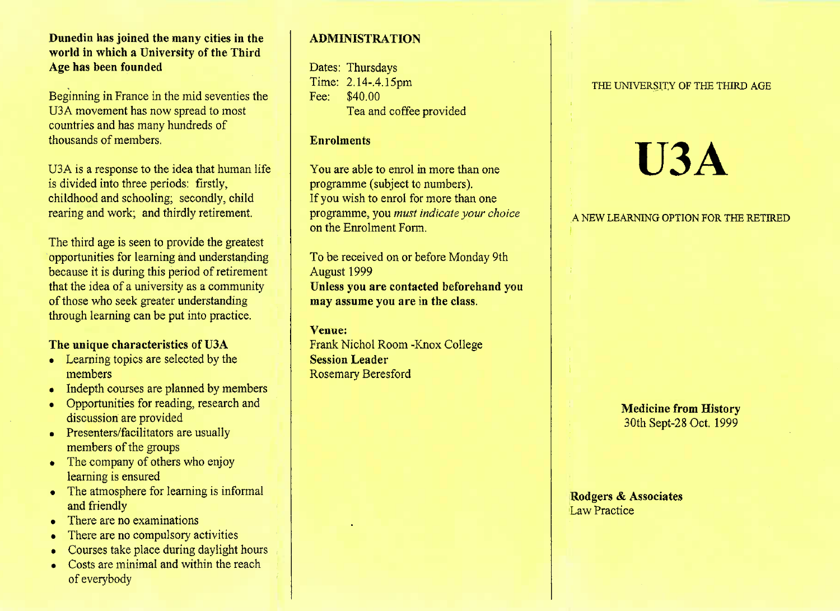### **Dunedin has joined the many cities in the world in which a University of the ThirdAge has been founded**

Beginning in France in the mid seventies theUSA movement has now spread to mostcountries and has many hundreds ofthousands of members.

U3A is a response to the idea that human lifeis divided into three periods: firstly, childhood and schooling; secondly, childrearing and work; and thirdly retirement.

The third age is seen to provide the greatest opportunities for learning and understanding because it is during this period of retirement that the idea of a university as a communityof those who seek greater understandingthrough learning can be put into practice.

# **The unique characteristics of U3A**

- Learning topics are selected by the members
- Indepth courses are planned by members
- Opportunities for reading, research anddiscussion are provided
- Presenters/facilitators are usually members of the groups
- The company of others who enjoy learning is ensured
- The atmosphere for learning is informal and friendly
- There are no examinations
- There are no compulsory activities
- Courses take place during daylight hours
- Costs are minimal and within the reach of everybody

# **ADMINISTRATION**

Dates: Thursdays Time: 2.14-.4.15pmFee: \$40.00Tea and coffee provided

### **Enrolments**

You are able to enrol in more than oneprogramme (subject to numbers). If you wish to enrol for more than one programme, you *must indicate your choice*on the Enrolment Form.

To be received on or before Monday 9thAugust 1999 **Unless you are contacted beforehand youmay assume you are in the class.**

# **Venue:**

 Frank Nichol Room -Knox College**Session Leader**Rosemary Beresford

#### THE UNIVERSITY OF THE THIRD AGE

# **U3A**

A NEW LEARNING OPTION FOR THE RETIRED

**Medicine from History**30th Sept-28 Oct. 1999

**Rodgers & Associates**Law Practice